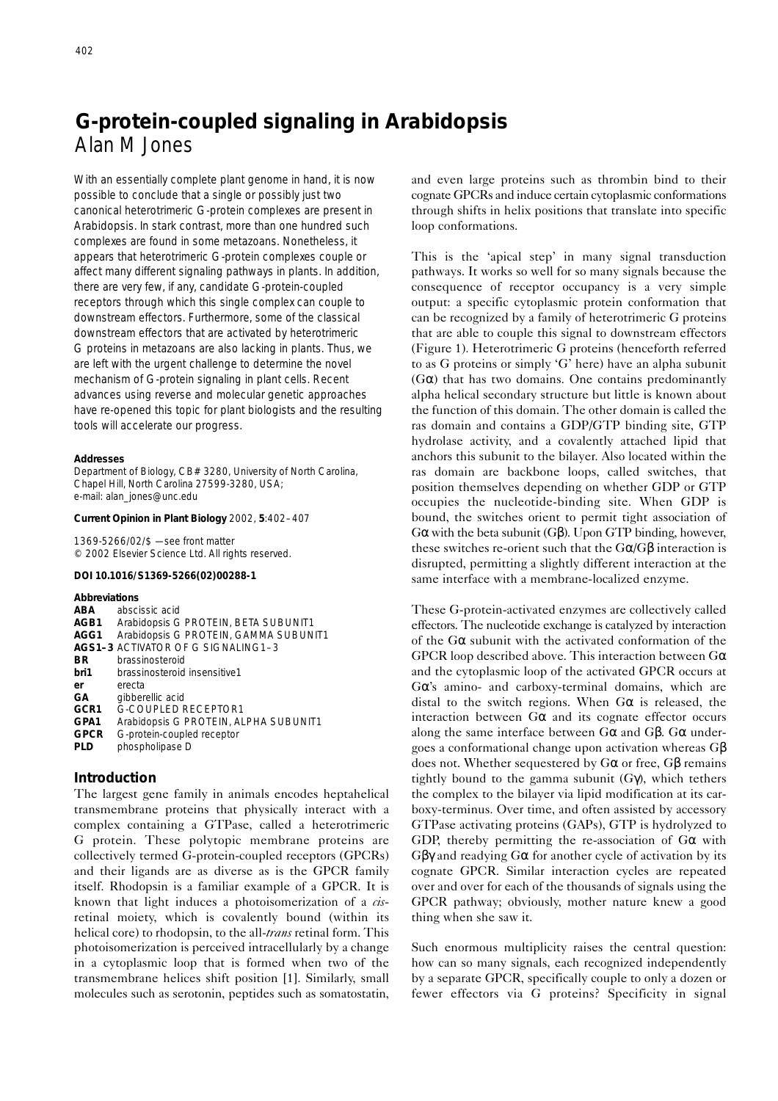# **G-protein-coupled signaling in** *Arabidopsis* Alan M Jones

With an essentially complete plant genome in hand, it is now possible to conclude that a single or possibly just two canonical heterotrimeric G-protein complexes are present in *Arabidopsis*. In stark contrast, more than one hundred such complexes are found in some metazoans. Nonetheless, it appears that heterotrimeric G-protein complexes couple or affect many different signaling pathways in plants. In addition, there are very few, if any, candidate G-protein-coupled receptors through which this single complex can couple to downstream effectors. Furthermore, some of the classical downstream effectors that are activated by heterotrimeric G proteins in metazoans are also lacking in plants. Thus, we are left with the urgent challenge to determine the novel mechanism of G-protein signaling in plant cells. Recent advances using reverse and molecular genetic approaches have re-opened this topic for plant biologists and the resulting tools will accelerate our progress.

#### **Addresses**

Department of Biology, CB# 3280, University of North Carolina, Chapel Hill, North Carolina 27599-3280, USA; e-mail: alan\_jones@unc.edu

#### **Current Opinion in Plant Biology** 2002, **5**:402–407

1369-5266/02/\$ — see front matter © 2002 Elsevier Science Ltd. All rights reserved.

#### *DOI 10.1016/S1369-5266(02)00288-1*

**Abbreviations**

| ABA  | abscissic acid                        |
|------|---------------------------------------|
| AGB1 | Arabidopsis G PROTEIN, BETA SUBUNIT1  |
| AGG1 | Arabidopsis G PROTEIN, GAMMA SUBUNIT1 |
|      | AGS1-3 ACTIVATOR OF G SIGNALING1-3    |
| ВR   | brassinosteroid                       |
| bri1 | brassinosteroid insensitive1          |
| er   | erecta                                |
| GA   | gibberellic acid                      |
| GCR1 | G-COUPLED RECEPTOR1                   |
| GPA1 | Arabidopsis G PROTEIN, ALPHA SUBUNIT1 |
| GPCR | G-protein-coupled receptor            |
| PLD  | phospholipase D                       |
|      |                                       |

# **Introduction**

The largest gene family in animals encodes heptahelical transmembrane proteins that physically interact with a complex containing a GTPase, called a heterotrimeric G protein. These polytopic membrane proteins are collectively termed G-protein-coupled receptors (GPCRs) and their ligands are as diverse as is the GPCR family itself. Rhodopsin is a familiar example of a GPCR. It is known that light induces a photoisomerization of a *cis*retinal moiety, which is covalently bound (within its helical core) to rhodopsin, to the all-*trans* retinal form. This photoisomerization is perceived intracellularly by a change in a cytoplasmic loop that is formed when two of the transmembrane helices shift position [1]. Similarly, small molecules such as serotonin, peptides such as somatostatin,

and even large proteins such as thrombin bind to their cognate GPCRs and induce certain cytoplasmic conformations through shifts in helix positions that translate into specific loop conformations.

This is the 'apical step' in many signal transduction pathways. It works so well for so many signals because the consequence of receptor occupancy is a very simple output: a specific cytoplasmic protein conformation that can be recognized by a family of heterotrimeric G proteins that are able to couple this signal to downstream effectors (Figure 1). Heterotrimeric G proteins (henceforth referred to as G proteins or simply 'G' here) have an alpha subunit ( $G\alpha$ ) that has two domains. One contains predominantly alpha helical secondary structure but little is known about the function of this domain. The other domain is called the ras domain and contains a GDP/GTP binding site, GTP hydrolase activity, and a covalently attached lipid that anchors this subunit to the bilayer. Also located within the ras domain are backbone loops, called switches, that position themselves depending on whether GDP or GTP occupies the nucleotide-binding site. When GDP is bound, the switches orient to permit tight association of Gα with the beta subunit (Gβ). Upon GTP binding, however, these switches re-orient such that the  $G\alpha/G\beta$  interaction is disrupted, permitting a slightly different interaction at the same interface with a membrane-localized enzyme.

These G-protein-activated enzymes are collectively called effectors. The nucleotide exchange is catalyzed by interaction of the  $G\alpha$  subunit with the activated conformation of the GPCR loop described above. This interaction between  $G\alpha$ and the cytoplasmic loop of the activated GPCR occurs at Gα's amino- and carboxy-terminal domains, which are distal to the switch regions. When  $G\alpha$  is released, the interaction between  $G\alpha$  and its cognate effector occurs along the same interface between  $G\alpha$  and  $G\beta$ .  $G\alpha$  undergoes a conformational change upon activation whereas Gβ does not. Whether sequestered by Gα or free, Gβ remains tightly bound to the gamma subunit  $(G\gamma)$ , which tethers the complex to the bilayer via lipid modification at its carboxy-terminus. Over time, and often assisted by accessory GTPase activating proteins (GAPs), GTP is hydrolyzed to GDP, thereby permitting the re-association of  $G\alpha$  with Gβγ and readying Gα for another cycle of activation by its cognate GPCR. Similar interaction cycles are repeated over and over for each of the thousands of signals using the GPCR pathway; obviously, mother nature knew a good thing when she saw it.

Such enormous multiplicity raises the central question: how can so many signals, each recognized independently by a separate GPCR, specifically couple to only a dozen or fewer effectors via G proteins? Specificity in signal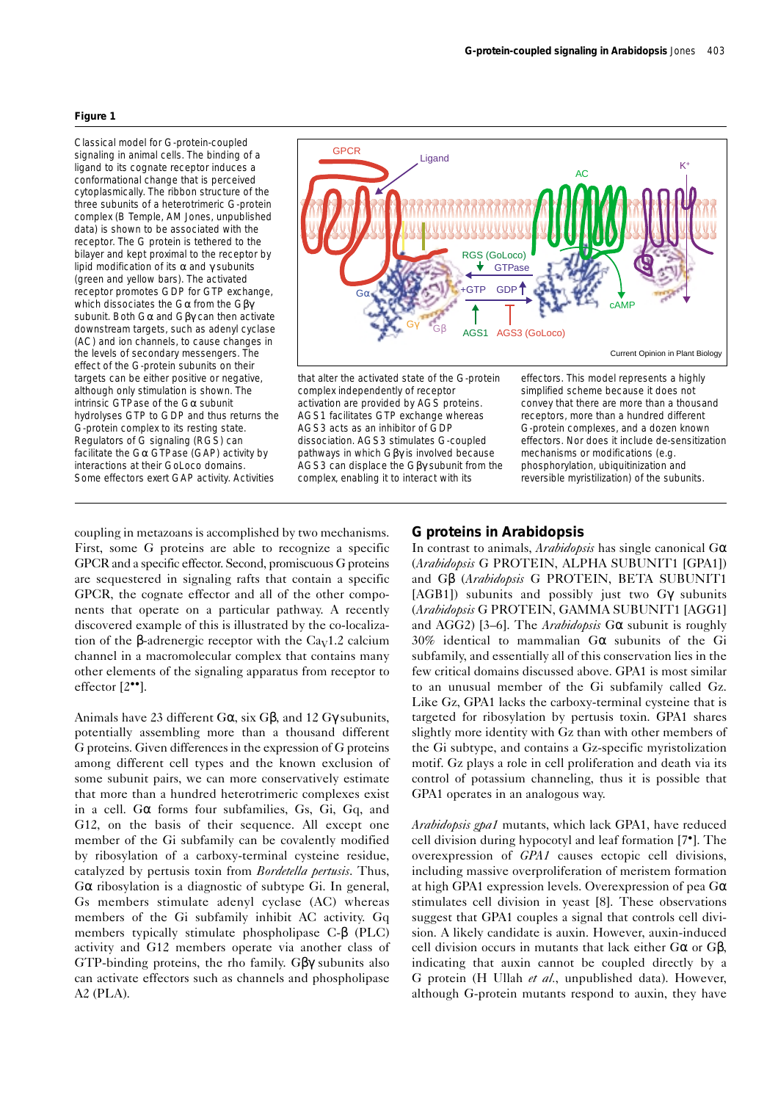#### **Figure 1**

Classical model for G-protein-coupled signaling in animal cells. The binding of a ligand to its cognate receptor induces a conformational change that is perceived cytoplasmically. The ribbon structure of the three subunits of a heterotrimeric G-protein complex (B Temple, AM Jones, unpublished data) is shown to be associated with the receptor. The G protein is tethered to the bilayer and kept proximal to the receptor by lipid modification of its α and γ subunits (green and yellow bars). The activated receptor promotes GDP for GTP exchange, which dissociates the Gα from the Gβγ subunit. Both Gα and Gβγ can then activate downstream targets, such as adenyl cyclase (AC) and ion channels, to cause changes in the levels of secondary messengers. The effect of the G-protein subunits on their targets can be either positive or negative. although only stimulation is shown. The intrinsic GTPase of the Gα subunit hydrolyses GTP to GDP and thus returns the G-protein complex to its resting state. Regulators of G signaling (RGS) can facilitate the  $G\alpha$  GTPase (GAP) activity by interactions at their GoLoco domains. Some effectors exert GAP activity. Activities



complex independently of receptor activation are provided by AGS proteins. AGS1 facilitates GTP exchange whereas AGS3 acts as an inhibitor of GDP dissociation. AGS3 stimulates G-coupled pathways in which Gβγ is involved because AGS3 can displace the Gβγ subunit from the complex, enabling it to interact with its

effectors. This model represents a highly simplified scheme because it does not convey that there are more than a thousand receptors, more than a hundred different G-protein complexes, and a dozen known effectors. Nor does it include de-sensitization mechanisms or modifications (e.g. phosphorylation, ubiquitinization and reversible myristilization) of the subunits.

coupling in metazoans is accomplished by two mechanisms. First, some G proteins are able to recognize a specific GPCR and a specific effector. Second, promiscuous G proteins are sequestered in signaling rafts that contain a specific GPCR, the cognate effector and all of the other components that operate on a particular pathway. A recently discovered example of this is illustrated by the co-localization of the β-adrenergic receptor with the  $Ca<sub>V</sub>1.2$  calcium channel in a macromolecular complex that contains many other elements of the signaling apparatus from receptor to effector [2••].

Animals have 23 different  $G\alpha$ , six  $G\beta$ , and 12  $G\gamma$  subunits, potentially assembling more than a thousand different G proteins. Given differences in the expression of G proteins among different cell types and the known exclusion of some subunit pairs, we can more conservatively estimate that more than a hundred heterotrimeric complexes exist in a cell. Gα forms four subfamilies, Gs, Gi, Gq, and G12, on the basis of their sequence. All except one member of the Gi subfamily can be covalently modified by ribosylation of a carboxy-terminal cysteine residue, catalyzed by pertusis toxin from *Bordetella pertusis*. Thus, Gα ribosylation is a diagnostic of subtype Gi. In general, Gs members stimulate adenyl cyclase (AC) whereas members of the Gi subfamily inhibit AC activity. Gq members typically stimulate phospholipase C-β (PLC) activity and G12 members operate via another class of GTP-binding proteins, the rho family. Gβγ subunits also can activate effectors such as channels and phospholipase A2 (PLA).

## **G proteins in** *Arabidopsis*

In contrast to animals, *Arabidopsis* has single canonical Gα (*Arabidopsis* G PROTEIN, ALPHA SUBUNIT1 [GPA1]) and Gβ (*Arabidopsis* G PROTEIN, BETA SUBUNIT1 [AGB1]) subunits and possibly just two Gγ subunits (*Arabidopsis* G PROTEIN, GAMMA SUBUNIT1 [AGG1] and AGG2) [3–6]. The *Arabidopsis* Gα subunit is roughly 30% identical to mammalian Gα subunits of the Gi subfamily, and essentially all of this conservation lies in the few critical domains discussed above. GPA1 is most similar to an unusual member of the Gi subfamily called Gz. Like Gz, GPA1 lacks the carboxy-terminal cysteine that is targeted for ribosylation by pertusis toxin. GPA1 shares slightly more identity with Gz than with other members of the Gi subtype, and contains a Gz-specific myristolization motif. Gz plays a role in cell proliferation and death via its control of potassium channeling, thus it is possible that GPA1 operates in an analogous way.

*Arabidopsis gpa1* mutants, which lack GPA1, have reduced cell division during hypocotyl and leaf formation [7•]. The overexpression of *GPA1* causes ectopic cell divisions, including massive overproliferation of meristem formation at high GPA1 expression levels. Overexpression of pea  $G\alpha$ stimulates cell division in yeast [8]. These observations suggest that GPA1 couples a signal that controls cell division. A likely candidate is auxin. However, auxin-induced cell division occurs in mutants that lack either  $G\alpha$  or  $G\beta$ , indicating that auxin cannot be coupled directly by a G protein (H Ullah *et al.*, unpublished data). However, although G-protein mutants respond to auxin, they have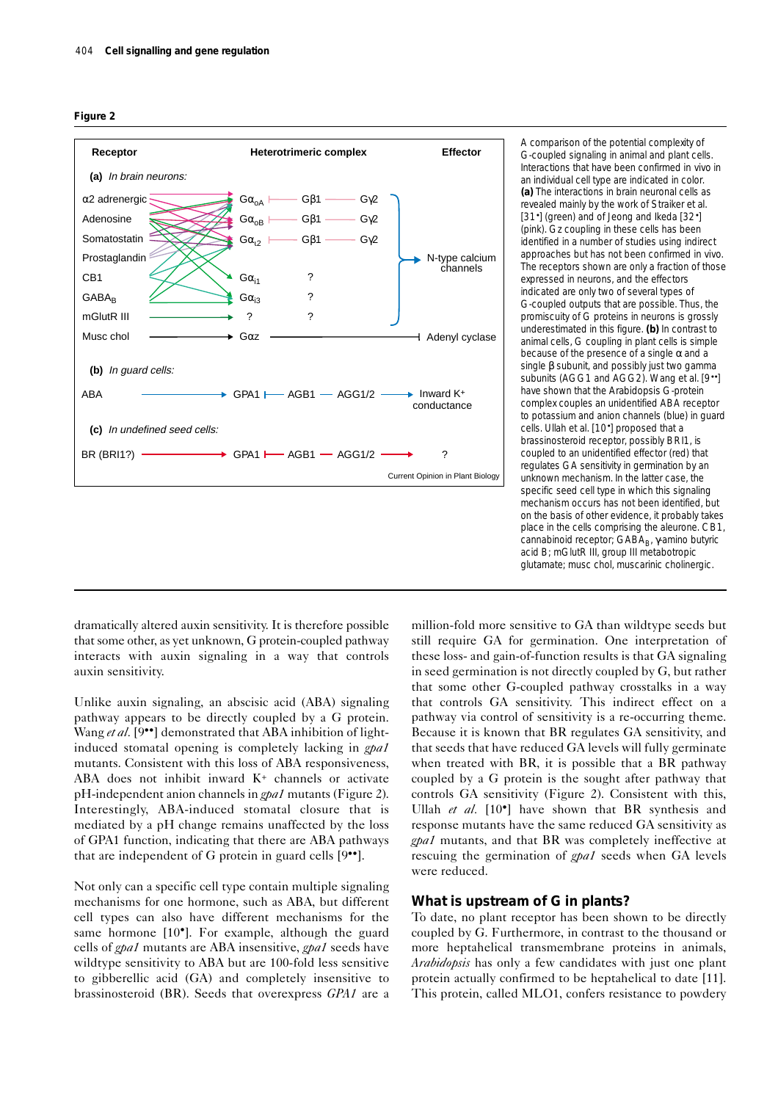



A comparison of the potential complexity of G-coupled signaling in animal and plant cells. Interactions that have been confirmed *in vivo* in an individual cell type are indicated in color. **(a)** The interactions in brain neuronal cells as revealed mainly by the work of Straiker *et al.* [31•] (green) and of Jeong and Ikeda [32•] (pink). Gz coupling in these cells has been identified in a number of studies using indirect approaches but has not been confirmed *in vivo*. The receptors shown are only a fraction of those expressed in neurons, and the effectors indicated are only two of several types of G-coupled outputs that are possible. Thus, the promiscuity of G proteins in neurons is grossly underestimated in this figure. **(b)** In contrast to animal cells, G coupling in plant cells is simple because of the presence of a single  $\alpha$  and a single β subunit, and possibly just two gamma subunits (AGG1 and AGG2). Wang *et al.* [9••] have shown that the *Arabidopsis* G-protein complex couples an unidentified ABA receptor to potassium and anion channels (blue) in guard cells. Ullah *et al.* [10•] proposed that a brassinosteroid receptor, possibly BRI1, is coupled to an unidentified effector (red) that regulates GA sensitivity in germination by an unknown mechanism. In the latter case, the specific seed cell type in which this signaling mechanism occurs has not been identified, but on the basis of other evidence, it probably takes place in the cells comprising the aleurone. CB1, cannabinoid receptor; GABA<sub>B</sub>, γ-amino butyric acid B; mGlutR III, group III metabotropic glutamate; musc chol, muscarinic cholinergic.

dramatically altered auxin sensitivity. It is therefore possible that some other, as yet unknown, G protein-coupled pathway interacts with auxin signaling in a way that controls auxin sensitivity.

Unlike auxin signaling, an abscisic acid (ABA) signaling pathway appears to be directly coupled by a G protein. Wang et al. [9<sup>••</sup>] demonstrated that ABA inhibition of lightinduced stomatal opening is completely lacking in *gpa1* mutants. Consistent with this loss of ABA responsiveness, ABA does not inhibit inward K+ channels or activate pH-independent anion channels in *gpa1* mutants (Figure 2). Interestingly, ABA-induced stomatal closure that is mediated by a pH change remains unaffected by the loss of GPA1 function, indicating that there are ABA pathways that are independent of G protein in guard cells [9••].

Not only can a specific cell type contain multiple signaling mechanisms for one hormone, such as ABA, but different cell types can also have different mechanisms for the same hormone [10<sup>•</sup>]. For example, although the guard cells of *gpa1* mutants are ABA insensitive, *gpa1* seeds have wildtype sensitivity to ABA but are 100-fold less sensitive to gibberellic acid (GA) and completely insensitive to brassinosteroid (BR). Seeds that overexpress *GPA1* are a

million-fold more sensitive to GA than wildtype seeds but still require GA for germination. One interpretation of these loss- and gain-of-function results is that GA signaling in seed germination is not directly coupled by G, but rather that some other G-coupled pathway crosstalks in a way that controls GA sensitivity. This indirect effect on a pathway via control of sensitivity is a re-occurring theme. Because it is known that BR regulates GA sensitivity, and that seeds that have reduced GA levels will fully germinate when treated with BR, it is possible that a BR pathway coupled by a G protein is the sought after pathway that controls GA sensitivity (Figure 2). Consistent with this, Ullah *et al.* [10•] have shown that BR synthesis and response mutants have the same reduced GA sensitivity as *gpa1* mutants, and that BR was completely ineffective at rescuing the germination of *gpa1* seeds when GA levels were reduced.

## **What is upstream of G in plants?**

To date, no plant receptor has been shown to be directly coupled by G. Furthermore, in contrast to the thousand or more heptahelical transmembrane proteins in animals, *Arabidopsis* has only a few candidates with just one plant protein actually confirmed to be heptahelical to date [11]. This protein, called MLO1, confers resistance to powdery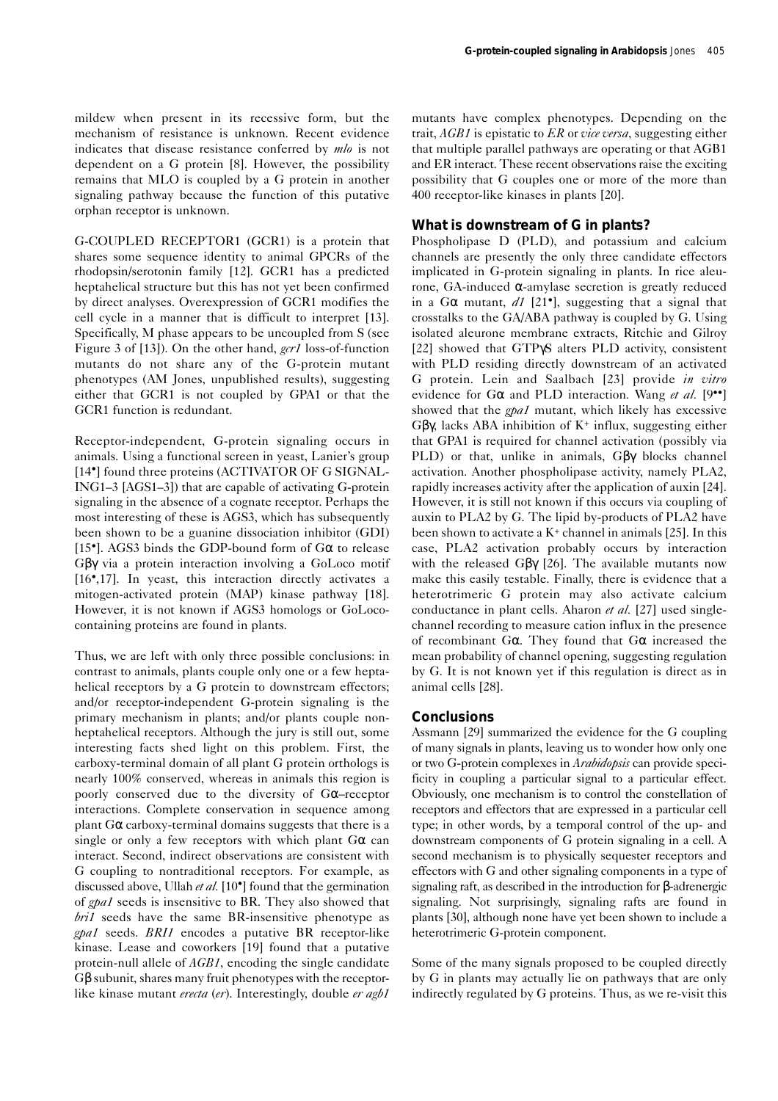mildew when present in its recessive form, but the mechanism of resistance is unknown. Recent evidence indicates that disease resistance conferred by *mlo* is not dependent on a G protein [8]. However, the possibility remains that MLO is coupled by a G protein in another signaling pathway because the function of this putative orphan receptor is unknown.

G-COUPLED RECEPTOR1 (GCR1) is a protein that shares some sequence identity to animal GPCRs of the rhodopsin/serotonin family [12]. GCR1 has a predicted heptahelical structure but this has not yet been confirmed by direct analyses. Overexpression of GCR1 modifies the cell cycle in a manner that is difficult to interpret [13]. Specifically, M phase appears to be uncoupled from S (see Figure 3 of [13]). On the other hand, *gcr1* loss-of-function mutants do not share any of the G-protein mutant phenotypes (AM Jones, unpublished results), suggesting either that GCR1 is not coupled by GPA1 or that the GCR1 function is redundant.

Receptor-independent, G-protein signaling occurs in animals. Using a functional screen in yeast, Lanier's group [14<sup>•</sup>] found three proteins (ACTIVATOR OF G SIGNAL-ING1–3 [AGS1–3]) that are capable of activating G-protein signaling in the absence of a cognate receptor. Perhaps the most interesting of these is AGS3, which has subsequently been shown to be a guanine dissociation inhibitor (GDI) [15<sup>•</sup>]. AGS3 binds the GDP-bound form of  $G\alpha$  to release Gβγ via a protein interaction involving a GoLoco motif [16•,17]. In yeast, this interaction directly activates a mitogen-activated protein (MAP) kinase pathway [18]. However, it is not known if AGS3 homologs or GoLococontaining proteins are found in plants.

Thus, we are left with only three possible conclusions: in contrast to animals, plants couple only one or a few heptahelical receptors by a G protein to downstream effectors; and/or receptor-independent G-protein signaling is the primary mechanism in plants; and/or plants couple nonheptahelical receptors. Although the jury is still out, some interesting facts shed light on this problem. First, the carboxy-terminal domain of all plant G protein orthologs is nearly 100% conserved, whereas in animals this region is poorly conserved due to the diversity of Gα–receptor interactions. Complete conservation in sequence among plant  $G\alpha$  carboxy-terminal domains suggests that there is a single or only a few receptors with which plant  $G\alpha$  can interact. Second, indirect observations are consistent with G coupling to nontraditional receptors. For example, as discussed above, Ullah *et al.* [10•] found that the germination of *gpa1* seeds is insensitive to BR. They also showed that *bri1* seeds have the same BR-insensitive phenotype as *gpa1* seeds. *BRI1* encodes a putative BR receptor-like kinase. Lease and coworkers [19] found that a putative protein-null allele of *AGB1*, encoding the single candidate Gβ subunit, shares many fruit phenotypes with the receptorlike kinase mutant *erecta* (*er*). Interestingly, double *er agb1*

mutants have complex phenotypes. Depending on the trait, *AGB1* is epistatic to *ER* or *vice versa*, suggesting either that multiple parallel pathways are operating or that AGB1 and ER interact. These recent observations raise the exciting possibility that G couples one or more of the more than 400 receptor-like kinases in plants [20].

# **What is downstream of G in plants?**

Phospholipase D (PLD), and potassium and calcium channels are presently the only three candidate effectors implicated in G-protein signaling in plants. In rice aleurone, GA-induced α-amylase secretion is greatly reduced in a G $\alpha$  mutant,  $dI$  [21<sup>•</sup>], suggesting that a signal that crosstalks to the GA/ABA pathway is coupled by G. Using isolated aleurone membrane extracts, Ritchie and Gilroy [22] showed that GTPγS alters PLD activity, consistent with PLD residing directly downstream of an activated G protein. Lein and Saalbach [23] provide *in vitro* evidence for Gα and PLD interaction. Wang *et al.* [9••] showed that the *gpa1* mutant, which likely has excessive Gβγ, lacks ABA inhibition of K+ influx, suggesting either that GPA1 is required for channel activation (possibly via PLD) or that, unlike in animals, Gβγ blocks channel activation. Another phospholipase activity, namely PLA2, rapidly increases activity after the application of auxin [24]. However, it is still not known if this occurs via coupling of auxin to PLA2 by G. The lipid by-products of PLA2 have been shown to activate a  $K^+$  channel in animals [25]. In this case, PLA2 activation probably occurs by interaction with the released Gβγ [26]. The available mutants now make this easily testable. Finally, there is evidence that a heterotrimeric G protein may also activate calcium conductance in plant cells. Aharon *et al.* [27] used singlechannel recording to measure cation influx in the presence of recombinant G $\alpha$ . They found that G $\alpha$  increased the mean probability of channel opening, suggesting regulation by G. It is not known yet if this regulation is direct as in animal cells [28].

# **Conclusions**

Assmann [29] summarized the evidence for the G coupling of many signals in plants, leaving us to wonder how only one or two G-protein complexes in *Arabidopsis* can provide specificity in coupling a particular signal to a particular effect. Obviously, one mechanism is to control the constellation of receptors and effectors that are expressed in a particular cell type; in other words, by a temporal control of the up- and downstream components of G protein signaling in a cell. A second mechanism is to physically sequester receptors and effectors with G and other signaling components in a type of signaling raft, as described in the introduction for β-adrenergic signaling. Not surprisingly, signaling rafts are found in plants [30], although none have yet been shown to include a heterotrimeric G-protein component.

Some of the many signals proposed to be coupled directly by G in plants may actually lie on pathways that are only indirectly regulated by G proteins. Thus, as we re-visit this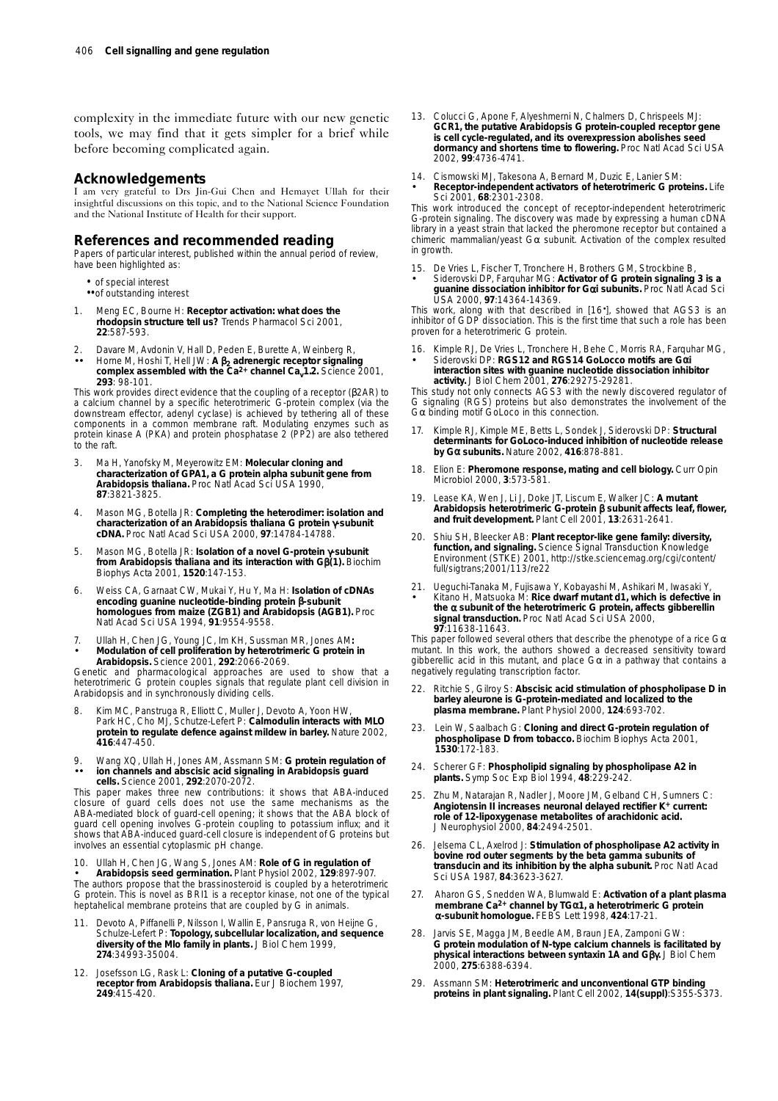complexity in the immediate future with our new genetic tools, we may find that it gets simpler for a brief while before becoming complicated again.

## **Acknowledgements**

I am very grateful to Drs Jin-Gui Chen and Hemayet Ullah for their insightful discussions on this topic, and to the National Science Foundation and the National Institute of Health for their support.

### **References and recommended reading**

Papers of particular interest, published within the annual period of review, have been highlighted as:

- of special interest
- •• of outstanding interest
- 1. Meng EC, Bourne H: **Receptor activation: what does the rhodopsin structure tell us?** *Trends Pharmacol Sci* 2001, **22**:587-593.
- 2. Davare M, Avdonin V, Hall D, Peden E, Burette A, Weinberg R,
- •• Horne M, Hoshi T, Hell JW: **A** β**<sup>2</sup> adrenergic receptor signaling complex assembled with the Ca2+ channel Cav1.2.** *Science* 2001, **293**: 98-101.

This work provides direct evidence that the coupling of a receptor (β2AR) to a calcium channel by a specific heterotrimeric G-protein complex (via the downstream effector, adenyl cyclase) is achieved by tethering all of these components in a common membrane raft. Modulating enzymes such as protein kinase A (PKA) and protein phosphatase 2 (PP2) are also tethered to the raft.

- 3. Ma H, Yanofsky M, Meyerowitz EM: **Molecular cloning and characterization of GPA1, a G protein alpha subunit gene from** *Arabidopsis thaliana***.** *Proc Natl Acad Sci USA* 1990, **87**:3821-3825.
- 4. Mason MG, Botella JR: **Completing the heterodimer: isolation and characterization of an** *Arabidopsis thaliana* **G protein** γ**-subunit cDNA.** *Proc Natl Acad Sci USA* 2000, **97**:14784-14788.
- 5. Mason MG, Botella JR: **Isolation of a novel G-protein** γ**-subunit from** *Arabidopsis thaliana* **and its interaction with G**β**(1).** *Biochim Biophys Acta* 2001, **1520**:147-153.
- 6. Weiss CA, Garnaat CW, Mukai Y, Hu Y, Ma H: **Isolation of cDNAs encoding guanine nucleotide-binding protein** β**-subunit homologues from maize (ZGB1) and** *Arabidopsis* **(AGB1).** *Proc Natl Acad Sci USA* 1994, **91**:9554-9558.
- 7. Ullah H, Chen JG, Young JC, Im KH, Sussman MR, Jones AM**:** • **Modulation of cell proliferation by heterotrimeric G protein in** *Arabidopsis***.** *Science* 2001, **292**:2066-2069.

Genetic and pharmacological approaches are used to show that a heterotrimeric G protein couples signals that regulate plant cell division in *Arabidopsis* and in synchronously dividing cells.

- Kim MC, Panstruga R, Elliott C, Muller J, Devoto A, Yoon HW, Park HC, Cho MJ, Schutze-Lefert P: **Calmodulin interacts with MLO protein to regulate defence against mildew in barley.** *Nature* 2002, **416**:447-450.
- 9. Wang XQ, Ullah H, Jones AM, Assmann SM: **G protein regulation of** •• **ion channels and abscisic acid signaling in** *Arabidopsis* **guard cells.** *Science* 2001, **292**:2070-2072.

This paper makes three new contributions: it shows that ABA-induced closure of guard cells does not use the same mechanisms as the ABA-mediated block of guard-cell opening; it shows that the ABA block of guard cell opening involves G-protein coupling to potassium influx; and it shows that ABA-induced guard-cell closure is independent of G proteins but involves an essential cytoplasmic pH change.

10. Ullah H, Chen JG, Wang S, Jones AM: **Role of G in regulation of** • *Arabidopsis* **seed germination.** *Plant Physiol* 2002, **129**:897-907. The authors propose that the brassinosteroid is coupled by a heterotrimeric G protein. This is novel as BRI1 is a receptor kinase, not one of the typical heptahelical membrane proteins that are coupled by G in animals.

- 11. Devoto A, Piffanelli P, Nilsson I, Wallin E, Pansruga R, von Heijne G, Schulze-Lefert P: **Topology, subcellular localization, and sequence diversity of the Mlo family in plants.** *J Biol Chem* 1999, **274**:34993-35004.
- 12. Josefsson LG, Rask L: **Cloning of a putative G-coupled receptor from** *Arabidopsis thaliana***.** *Eur J Biochem* 1997, **249**:415-420.
- 13. Colucci G, Apone F, Alyeshmerni N, Chalmers D, Chrispeels MJ: *GCR1***, the putative** *Arabidopsis* **G protein-coupled receptor gene is cell cycle-regulated, and its overexpression abolishes seed dormancy and shortens time to flowering.** *Proc Natl Acad Sci USA* 2002, **99**:4736-4741.
- 14. Cismowski MJ, Takesona A, Bernard M, Duzic E, Lanier SM: • **Receptor-independent activators of heterotrimeric G proteins.** *Life Sci* 2001, **68**:2301-2308.

This work introduced the concept of receptor-independent heterotrimeric G-protein signaling. The discovery was made by expressing a human cDNA library in a yeast strain that lacked the pheromone receptor but contained a chimeric mammalian/yeast  $G\alpha$  subunit. Activation of the complex resulted in growth.

- 15. De Vries L, Fischer T, Tronchere H, Brothers GM, Strockbine B,
- Siderovski DP, Farquhar MG: **Activator of G protein signaling 3 is a guanine dissociation inhibitor for G**α**i subunits.** *Proc Natl Acad Sci USA* 2000, **97**:14364-14369.

This work, along with that described in [16•], showed that AGS3 is an inhibitor of GDP dissociation. This is the first time that such a role has been proven for a heterotrimeric G protein.

- 16. Kimple RJ, De Vries L, Tronchere H, Behe C, Morris RA, Farquhar MG,
- Siderovski DP: **RGS12 and RGS14 GoLocco motifs are G**α**i interaction sites with guanine nucleotide dissociation inhibitor activity.** *J Biol Chem* 2001, **276**:29275-29281.

This study not only connects AGS3 with the newly discovered regulator of G signaling (RGS) proteins but also demonstrates the involvement of the Gα binding motif GoLoco in this connection.

- 17. Kimple RJ, Kimple ME, Betts L, Sondek J, Siderovski DP: **Structural determinants for GoLoco-induced inhibition of nucleotide release by G**α **subunits.** *Nature* 2002, **416**:878-881.
- 18. Elion E: **Pheromone response, mating and cell biology.** *Curr Opin Microbiol* 2000, **3**:573-581.
- 19. Lease KA, Wen J, Li J, Doke JT, Liscum E, Walker JC: **A mutant** *Arabidopsis* **heterotrimeric G-protein** β **subunit affects leaf, flower, and fruit development.** *Plant Cell* 2001, **13**:2631-2641.
- 20. Shiu SH, Bleecker AB: **Plant receptor-like gene family: diversity, function, and signaling.** *Science Signal Transduction Knowledge Environment (STKE)* 2001, http://stke.sciencemag.org/cgi/content/ full/sigtrans;2001/113/re22
- 21. Ueguchi-Tanaka M, Fujisawa Y, Kobayashi M, Ashikari M, Iwasaki Y, • Kitano H, Matsuoka M: **Rice dwarf mutant** *d1***, which is defective in the** α **subunit of the heterotrimeric G protein, affects gibberellin signal transduction.** *Proc Natl Acad Sci USA* 2000, **97**:11638-11643.

This paper followed several others that describe the phenotype of a rice  $G\alpha$ mutant. In this work, the authors showed a decreased sensitivity toward gibberellic acid in this mutant, and place Gα in a pathway that contains a negatively regulating transcription factor.

- 22. Ritchie S, Gilroy S: **Abscisic acid stimulation of phospholipase D in barley aleurone is G-protein-mediated and localized to the plasma membrane.** *Plant Physiol* 2000, **124**:693-702.
- 23. Lein W, Saalbach G: **Cloning and direct G-protein regulation of phospholipase D from tobacco.** *Biochim Biophys Acta* 2001, **1530**:172-183.
- 24. Scherer GF: **Phospholipid signaling by phospholipase A2 in plants.** *Symp Soc Exp Biol* 1994, **48**:229-242.
- Zhu M, Natarajan R, Nadler J, Moore JM, Gelband CH, Sumners C: **Angiotensin II increases neuronal delayed rectifier K+ current: role of 12-lipoxygenase metabolites of arachidonic acid.** *J Neurophysiol* 2000, **84**:2494-2501.
- 26. Jelsema CL, Axelrod J: **Stimulation of phospholipase A2 activity in bovine rod outer segments by the beta gamma subunits of transducin and its inhibition by the alpha subunit.** *Proc Natl Acad Sci USA* 1987, **84**:3623-3627.
- 27. Aharon GS, Snedden WA, Blumwald E: **Activation of a plant plasma membrane Ca2+ channel by TG**α**1, a heterotrimeric G protein** α**-subunit homologue.** *FEBS Lett* 1998, **424**:17-21.
- 28. Jarvis SE, Magga JM, Beedle AM, Braun JEA, Zamponi GW: **G protein modulation of N-type calcium channels is facilitated by physical interactions between syntaxin 1A and G**βγ**.** *J Biol Chem* 2000, **275**:6388-6394.
- 29. Assmann SM: **Heterotrimeric and unconventional GTP binding proteins in plant signaling.** *Plant Cell* 2002, **14(suppl)**:S355-S373.